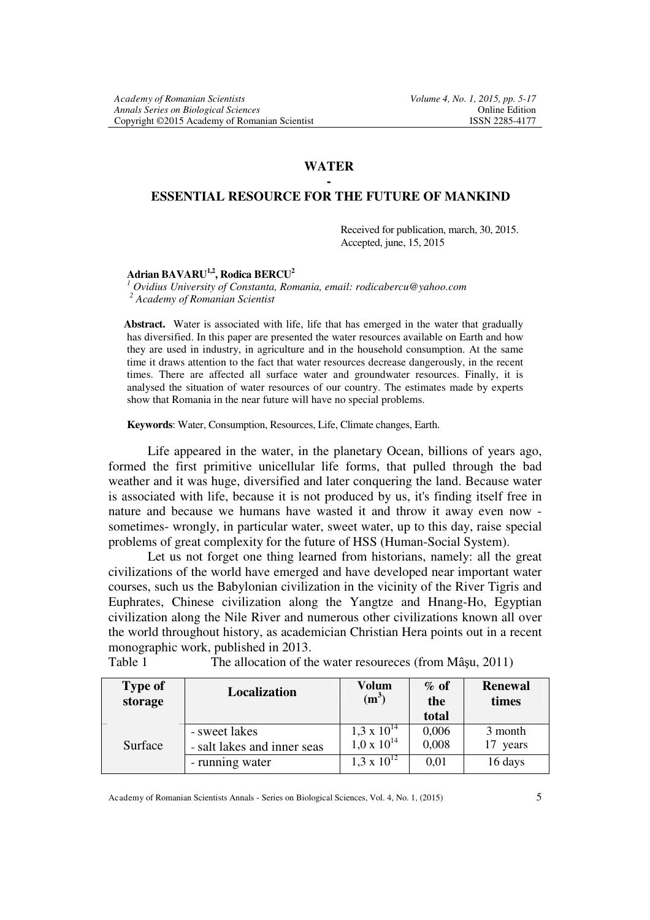### **WATER -**

### **ESSENTIAL RESOURCE FOR THE FUTURE OF MANKIND**

Received for publication, march, 30, 2015. Accepted, june, 15, 2015

## **Adrian BAVARU1,2, Rodica BERCU<sup>2</sup>**

*<sup>1</sup> Ovidius University of Constanta, Romania, email: rodicabercu@yahoo.com* 

*<sup>2</sup> Academy of Romanian Scientist* 

**Abstract.** Water is associated with life, life that has emerged in the water that gradually has diversified. In this paper are presented the water resources available on Earth and how they are used in industry, in agriculture and in the household consumption. At the same time it draws attention to the fact that water resources decrease dangerously, in the recent times. There are affected all surface water and groundwater resources. Finally, it is analysed the situation of water resources of our country. The estimates made by experts show that Romania in the near future will have no special problems.

**Keywords**: Water, Consumption, Resources, Life, Climate changes, Earth.

Life appeared in the water, in the planetary Ocean, billions of years ago, formed the first primitive unicellular life forms, that pulled through the bad weather and it was huge, diversified and later conquering the land. Because water is associated with life, because it is not produced by us, it's finding itself free in nature and because we humans have wasted it and throw it away even now sometimes- wrongly, in particular water, sweet water, up to this day, raise special problems of great complexity for the future of HSS (Human-Social System).

Let us not forget one thing learned from historians, namely: all the great civilizations of the world have emerged and have developed near important water courses, such us the Babylonian civilization in the vicinity of the River Tigris and Euphrates, Chinese civilization along the Yangtze and Hnang-Ho, Egyptian civilization along the Nile River and numerous other civilizations known all over the world throughout history, as academician Christian Hera points out in a recent monographic work, published in 2013.

| Table 1 | The allocation of the water resources (from Mâșu, 2011) |  |  |
|---------|---------------------------------------------------------|--|--|
|---------|---------------------------------------------------------|--|--|

| <b>Type of</b><br>storage | Localization                                 | Volum<br>$(m^3)$                             | $\%$ of<br>the<br>total | Renewal<br>times    |
|---------------------------|----------------------------------------------|----------------------------------------------|-------------------------|---------------------|
| Surface                   | - sweet lakes<br>- salt lakes and inner seas | $1,3 \times 10^{14}$<br>$1.0 \times 10^{14}$ | 0,006<br>0,008          | 3 month<br>17 years |
|                           | - running water                              | $1,3 \times 10^{12}$                         | 0,01                    | 16 days             |

Academy of Romanian Scientists Annals - Series on Biological Sciences, Vol. 4, No. 1, (2015) 5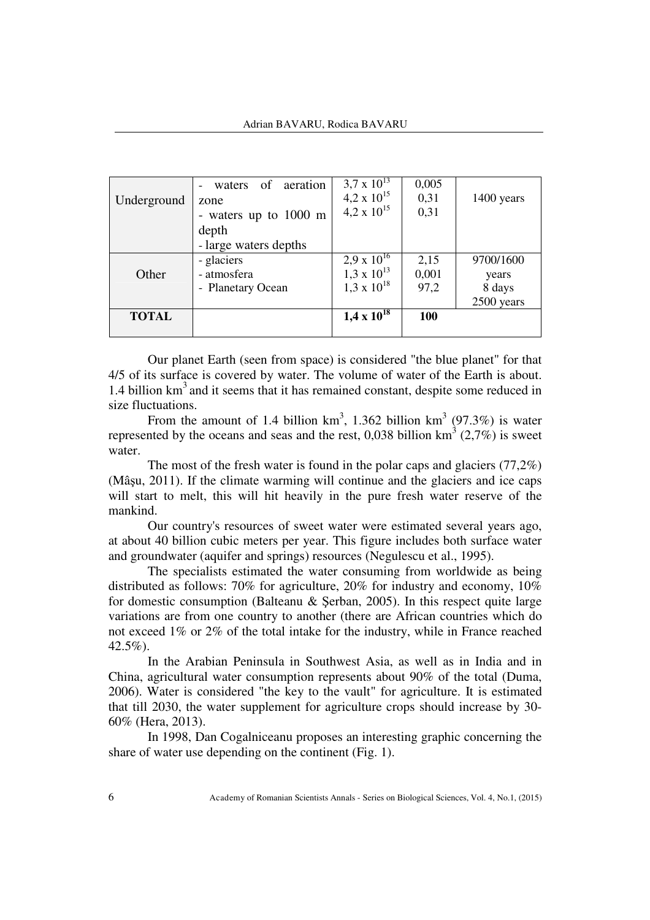|              | waters of aeration    | $3.7 \times 10^{13}$ | 0,005 |            |
|--------------|-----------------------|----------------------|-------|------------|
| Underground  | zone                  | 4,2 x $10^{15}$      | 0,31  | 1400 years |
|              | - waters up to 1000 m | $4.2 \times 10^{15}$ | 0,31  |            |
|              | depth                 |                      |       |            |
|              | - large waters depths |                      |       |            |
|              | - glaciers            | 2,9 x $10^{16}$      | 2,15  | 9700/1600  |
| Other        | - atmosfera           | $1,3 \times 10^{13}$ | 0,001 | years      |
|              | - Planetary Ocean     | $1.3 \times 10^{18}$ | 97,2  | 8 days     |
|              |                       |                      |       | 2500 years |
| <b>TOTAL</b> |                       | $1,4 \times 10^{18}$ | 100   |            |
|              |                       |                      |       |            |

Our planet Earth (seen from space) is considered "the blue planet" for that 4/5 of its surface is covered by water. The volume of water of the Earth is about. 1.4 billion  $km<sup>3</sup>$  and it seems that it has remained constant, despite some reduced in size fluctuations.

From the amount of 1.4 billion  $km^3$ , 1.362 billion  $km^3$  (97.3%) is water represented by the oceans and seas and the rest, 0,038 billion  $km^3$  (2,7%) is sweet water.

The most of the fresh water is found in the polar caps and glaciers (77,2%) (Mâşu, 2011). If the climate warming will continue and the glaciers and ice caps will start to melt, this will hit heavily in the pure fresh water reserve of the mankind.

Our country's resources of sweet water were estimated several years ago, at about 40 billion cubic meters per year. This figure includes both surface water and groundwater (aquifer and springs) resources (Negulescu et al., 1995).

The specialists estimated the water consuming from worldwide as being distributed as follows: 70% for agriculture, 20% for industry and economy, 10% for domestic consumption (Balteanu & Şerban, 2005). In this respect quite large variations are from one country to another (there are African countries which do not exceed 1% or 2% of the total intake for the industry, while in France reached 42.5%).

In the Arabian Peninsula in Southwest Asia, as well as in India and in China, agricultural water consumption represents about 90% of the total (Duma, 2006). Water is considered "the key to the vault" for agriculture. It is estimated that till 2030, the water supplement for agriculture crops should increase by 30- 60% (Hera, 2013).

In 1998, Dan Cogalniceanu proposes an interesting graphic concerning the share of water use depending on the continent (Fig. 1).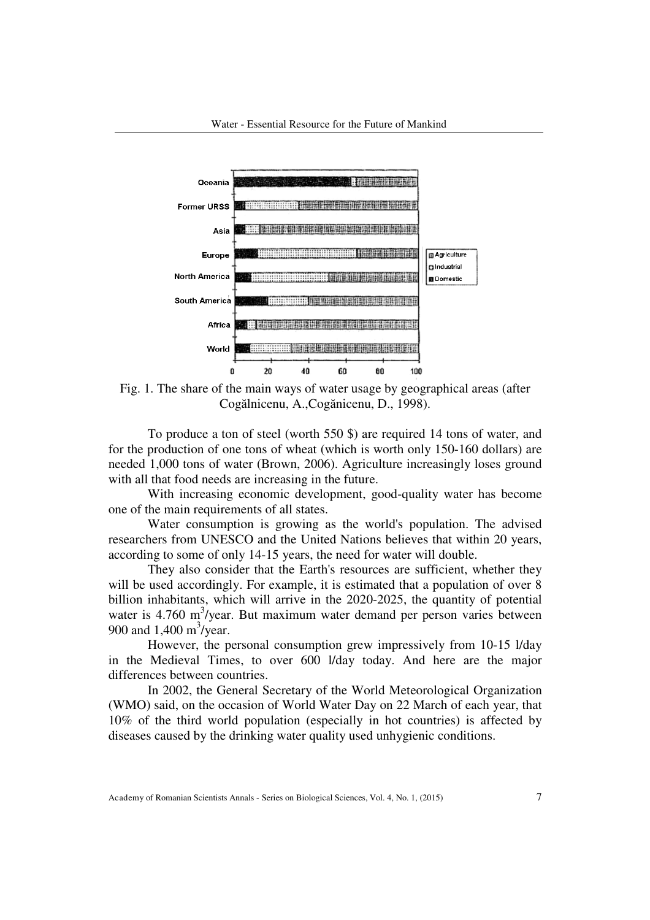

Fig. 1. The share of the main ways of water usage by geographical areas (after Cogălnicenu, A.,Cogănicenu, D., 1998).

To produce a ton of steel (worth 550 \$) are required 14 tons of water, and for the production of one tons of wheat (which is worth only 150-160 dollars) are needed 1,000 tons of water (Brown, 2006). Agriculture increasingly loses ground with all that food needs are increasing in the future.

With increasing economic development, good-quality water has become one of the main requirements of all states.

Water consumption is growing as the world's population. The advised researchers from UNESCO and the United Nations believes that within 20 years, according to some of only 14-15 years, the need for water will double.

They also consider that the Earth's resources are sufficient, whether they will be used accordingly. For example, it is estimated that a population of over 8 billion inhabitants, which will arrive in the 2020-2025, the quantity of potential water is 4.760 m<sup>3</sup>/year. But maximum water demand per person varies between 900 and  $1,400 \text{ m}^3/\text{year}$ .

However, the personal consumption grew impressively from 10-15 l/day in the Medieval Times, to over 600 l/day today. And here are the major differences between countries.

In 2002, the General Secretary of the World Meteorological Organization (WMO) said, on the occasion of World Water Day on 22 March of each year, that 10% of the third world population (especially in hot countries) is affected by diseases caused by the drinking water quality used unhygienic conditions.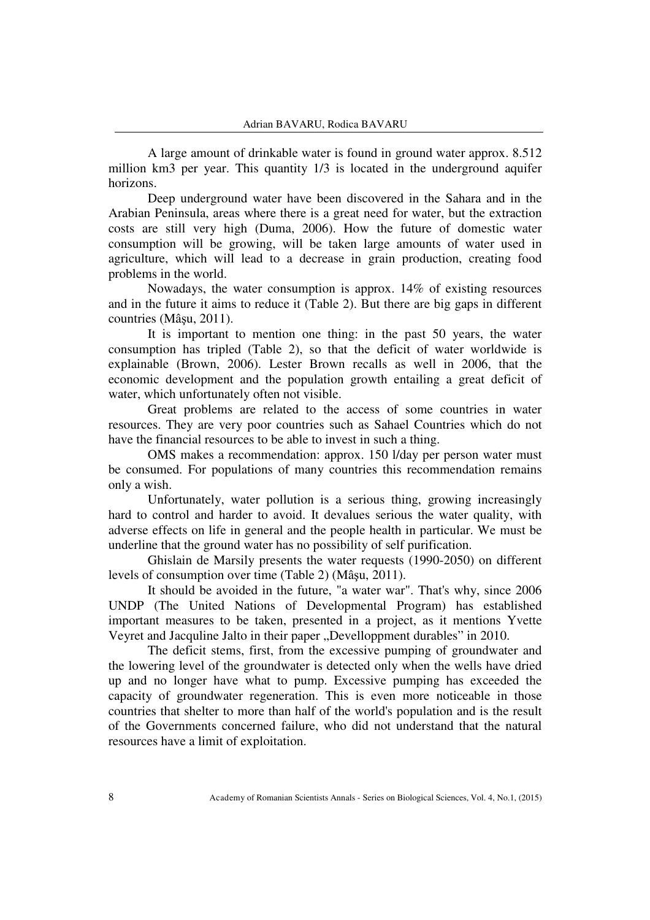A large amount of drinkable water is found in ground water approx. 8.512 million km3 per year. This quantity 1/3 is located in the underground aquifer horizons.

Deep underground water have been discovered in the Sahara and in the Arabian Peninsula, areas where there is a great need for water, but the extraction costs are still very high (Duma, 2006). How the future of domestic water consumption will be growing, will be taken large amounts of water used in agriculture, which will lead to a decrease in grain production, creating food problems in the world.

Nowadays, the water consumption is approx. 14% of existing resources and in the future it aims to reduce it (Table 2). But there are big gaps in different countries (Mâşu, 2011).

It is important to mention one thing: in the past 50 years, the water consumption has tripled (Table 2), so that the deficit of water worldwide is explainable (Brown, 2006). Lester Brown recalls as well in 2006, that the economic development and the population growth entailing a great deficit of water, which unfortunately often not visible.

Great problems are related to the access of some countries in water resources. They are very poor countries such as Sahael Countries which do not have the financial resources to be able to invest in such a thing.

OMS makes a recommendation: approx. 150 l/day per person water must be consumed. For populations of many countries this recommendation remains only a wish.

Unfortunately, water pollution is a serious thing, growing increasingly hard to control and harder to avoid. It devalues serious the water quality, with adverse effects on life in general and the people health in particular. We must be underline that the ground water has no possibility of self purification.

Ghislain de Marsily presents the water requests (1990-2050) on different levels of consumption over time (Table 2) (Mâşu, 2011).

It should be avoided in the future, "a water war". That's why, since 2006 UNDP (The United Nations of Developmental Program) has established important measures to be taken, presented in a project, as it mentions Yvette Veyret and Jacquline Jalto in their paper "Develloppment durables" in 2010.

The deficit stems, first, from the excessive pumping of groundwater and the lowering level of the groundwater is detected only when the wells have dried up and no longer have what to pump. Excessive pumping has exceeded the capacity of groundwater regeneration. This is even more noticeable in those countries that shelter to more than half of the world's population and is the result of the Governments concerned failure, who did not understand that the natural resources have a limit of exploitation.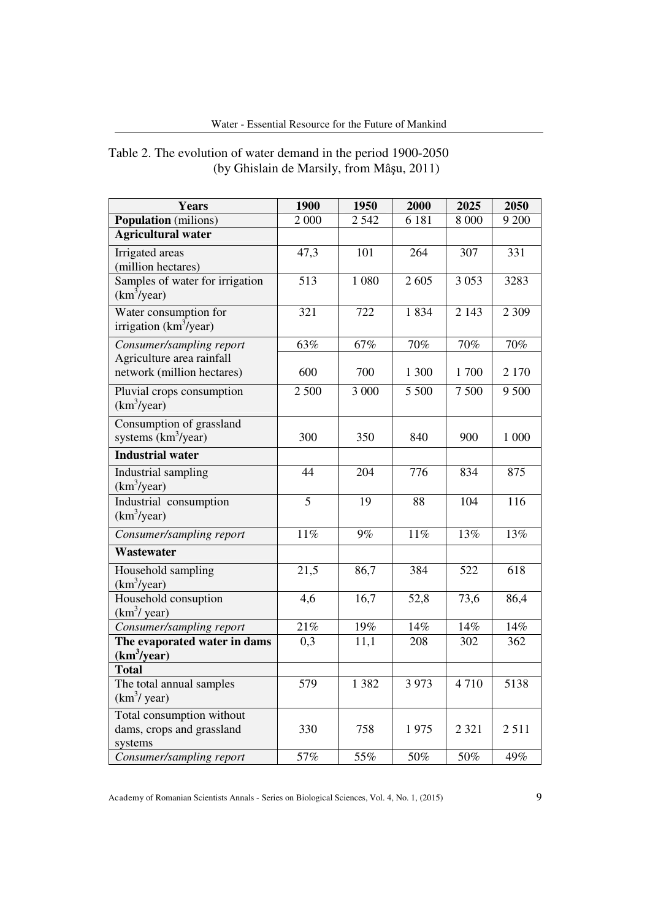| <b>Years</b>                                                      | 1900           | 1950    | 2000    | 2025    | 2050    |
|-------------------------------------------------------------------|----------------|---------|---------|---------|---------|
| <b>Population</b> (milions)                                       | 2 000          | 2542    | 6 181   | 8 0 0 0 | 9 200   |
| <b>Agricultural water</b>                                         |                |         |         |         |         |
| Irrigated areas                                                   | 47,3           | 101     | 264     | 307     | 331     |
| (million hectares)                                                |                |         |         |         |         |
| Samples of water for irrigation<br>(km <sup>3</sup> /year)        | 513            | 1 0 8 0 | 2605    | 3053    | 3283    |
| Water consumption for<br>irrigation $(km^3$ /year)                | 321            | 722     | 1834    | 2 1 4 3 | 2 3 0 9 |
| Consumer/sampling report                                          | 63%            | 67%     | 70%     | 70%     | 70%     |
| Agriculture area rainfall                                         |                |         |         |         |         |
| network (million hectares)                                        | 600            | 700     | 1 300   | 1700    | 2 1 7 0 |
| Pluvial crops consumption<br>(km <sup>3</sup> /year)              | 2 500          | 3 000   | 5 500   | 7500    | 9 500   |
| Consumption of grassland<br>systems (km <sup>3</sup> /year)       | 300            | 350     | 840     | 900     | 1 000   |
| <b>Industrial water</b>                                           |                |         |         |         |         |
| Industrial sampling<br>(km <sup>3</sup> /year)                    | 44             | 204     | 776     | 834     | 875     |
| Industrial consumption<br>(km <sup>3</sup> /year)                 | $\overline{5}$ | 19      | 88      | 104     | 116     |
| Consumer/sampling report                                          | 11%            | 9%      | 11%     | 13%     | 13%     |
| <b>Wastewater</b>                                                 |                |         |         |         |         |
| Household sampling<br>(km <sup>3</sup> /year)                     | 21,5           | 86,7    | 384     | 522     | 618     |
| Household consuption<br>$(km^3$ / year)                           | 4,6            | 16,7    | 52,8    | 73,6    | 86,4    |
| Consumer/sampling report                                          | 21%            | 19%     | 14%     | 14%     | $14\%$  |
| The evaporated water in dams                                      | 0,3            | 11,1    | 208     | 302     | 362     |
| (km <sup>3</sup> /year)                                           |                |         |         |         |         |
| <b>Total</b>                                                      |                |         |         |         |         |
| The total annual samples<br>$(km^3$ / year)                       | 579            | 1 3 8 2 | 3 9 7 3 | 4710    | 5138    |
| Total consumption without<br>dams, crops and grassland<br>systems | 330            | 758     | 1975    | 2 3 2 1 | 2511    |
| Consumer/sampling report                                          | 57%            | 55%     | 50%     | 50%     | 49%     |

# Table 2. The evolution of water demand in the period 1900-2050 (by Ghislain de Marsily, from Mâşu, 2011)

Academy of Romanian Scientists Annals - Series on Biological Sciences, Vol. 4, No. 1, (2015) 9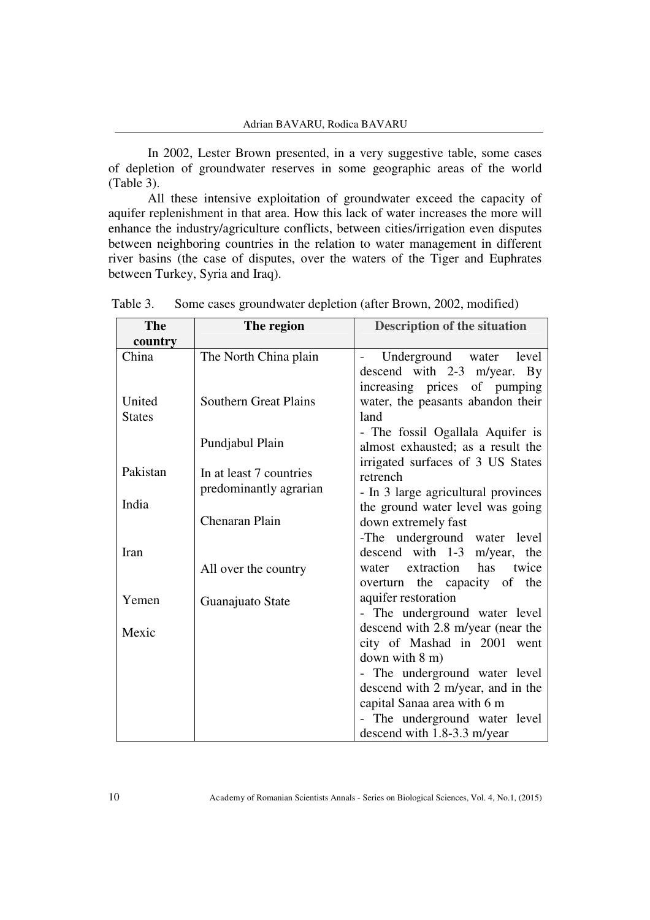In 2002, Lester Brown presented, in a very suggestive table, some cases of depletion of groundwater reserves in some geographic areas of the world (Table 3).

All these intensive exploitation of groundwater exceed the capacity of aquifer replenishment in that area. How this lack of water increases the more will enhance the industry/agriculture conflicts, between cities/irrigation even disputes between neighboring countries in the relation to water management in different river basins (the case of disputes, over the waters of the Tiger and Euphrates between Turkey, Syria and Iraq).

| The           | The region                   | <b>Description of the situation</b>                          |  |
|---------------|------------------------------|--------------------------------------------------------------|--|
| country       |                              |                                                              |  |
| China         | The North China plain        | Underground water level<br>$\qquad \qquad -$                 |  |
|               |                              | descend with 2-3 m/year. By                                  |  |
|               |                              | increasing prices of pumping                                 |  |
| United        | <b>Southern Great Plains</b> | water, the peasants abandon their                            |  |
| <b>States</b> |                              | land                                                         |  |
|               | Pundjabul Plain              | - The fossil Ogallala Aquifer is                             |  |
|               |                              | almost exhausted; as a result the                            |  |
| Pakistan      | In at least 7 countries      | irrigated surfaces of 3 US States                            |  |
|               | predominantly agrarian       | retrench                                                     |  |
| India         |                              | - In 3 large agricultural provinces                          |  |
|               | Chenaran Plain               | the ground water level was going                             |  |
|               |                              | down extremely fast                                          |  |
| Iran          |                              | -The underground water level<br>descend with 1-3 m/year, the |  |
|               |                              | extraction has<br>twice<br>water                             |  |
|               | All over the country         | overturn the capacity of the                                 |  |
|               |                              | aquifer restoration                                          |  |
| Yemen         | Guanajuato State             | - The underground water level                                |  |
|               |                              | descend with 2.8 m/year (near the                            |  |
| Mexic         |                              | city of Mashad in 2001 went                                  |  |
|               |                              | down with $8 \text{ m}$ )                                    |  |
|               |                              | - The underground water level                                |  |
|               |                              | descend with 2 m/year, and in the                            |  |
|               |                              | capital Sanaa area with 6 m                                  |  |
|               |                              | - The underground water level                                |  |
|               |                              | descend with 1.8-3.3 m/year                                  |  |
|               |                              |                                                              |  |

Table 3. Some cases groundwater depletion (after Brown, 2002, modified)

10 Academy of Romanian Scientists Annals - Series on Biological Sciences, Vol. 4, No.1, (2015)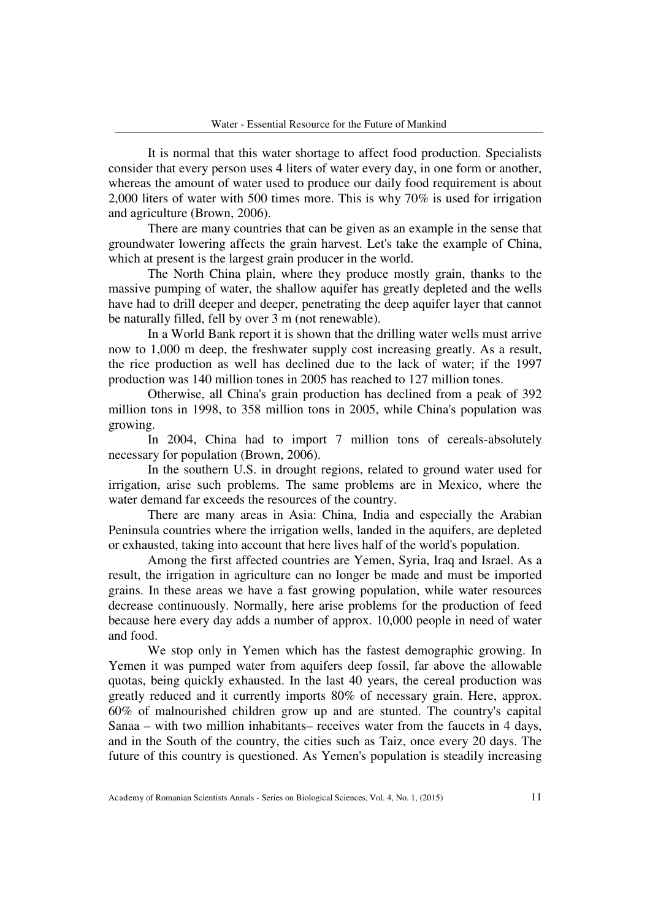It is normal that this water shortage to affect food production. Specialists consider that every person uses 4 liters of water every day, in one form or another, whereas the amount of water used to produce our daily food requirement is about 2,000 liters of water with 500 times more. This is why 70% is used for irrigation and agriculture (Brown, 2006).

There are many countries that can be given as an example in the sense that groundwater lowering affects the grain harvest. Let's take the example of China, which at present is the largest grain producer in the world.

The North China plain, where they produce mostly grain, thanks to the massive pumping of water, the shallow aquifer has greatly depleted and the wells have had to drill deeper and deeper, penetrating the deep aquifer layer that cannot be naturally filled, fell by over 3 m (not renewable).

In a World Bank report it is shown that the drilling water wells must arrive now to 1,000 m deep, the freshwater supply cost increasing greatly. As a result, the rice production as well has declined due to the lack of water; if the 1997 production was 140 million tones in 2005 has reached to 127 million tones.

Otherwise, all China's grain production has declined from a peak of 392 million tons in 1998, to 358 million tons in 2005, while China's population was growing.

In 2004, China had to import 7 million tons of cereals-absolutely necessary for population (Brown, 2006).

In the southern U.S. in drought regions, related to ground water used for irrigation, arise such problems. The same problems are in Mexico, where the water demand far exceeds the resources of the country.

There are many areas in Asia: China, India and especially the Arabian Peninsula countries where the irrigation wells, landed in the aquifers, are depleted or exhausted, taking into account that here lives half of the world's population.

Among the first affected countries are Yemen, Syria, Iraq and Israel. As a result, the irrigation in agriculture can no longer be made and must be imported grains. In these areas we have a fast growing population, while water resources decrease continuously. Normally, here arise problems for the production of feed because here every day adds a number of approx. 10,000 people in need of water and food.

We stop only in Yemen which has the fastest demographic growing. In Yemen it was pumped water from aquifers deep fossil, far above the allowable quotas, being quickly exhausted. In the last 40 years, the cereal production was greatly reduced and it currently imports 80% of necessary grain. Here, approx. 60% of malnourished children grow up and are stunted. The country's capital Sanaa – with two million inhabitants– receives water from the faucets in 4 days, and in the South of the country, the cities such as Taiz, once every 20 days. The future of this country is questioned. As Yemen's population is steadily increasing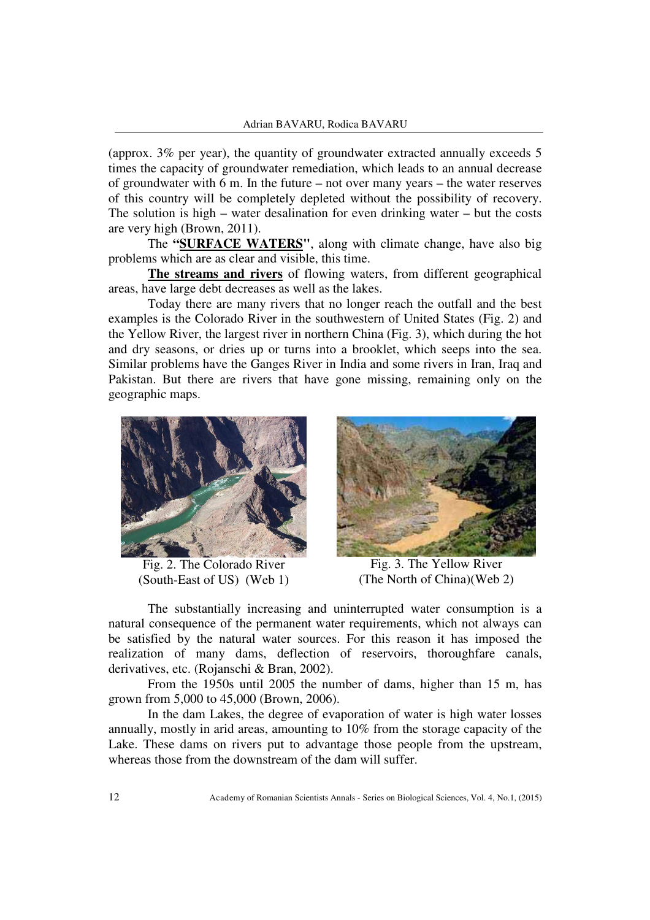(approx. 3% per year), the quantity of groundwater extracted annually exceeds 5 times the capacity of groundwater remediation, which leads to an annual decrease of groundwater with 6 m. In the future – not over many years – the water reserves – of this country will be completely depleted without the possibility of recovery. The solution is high  $-$  water desalination for even drinking water  $-$  but the costs are very high (Brown, 2011).

The **"SURFACE WATERS"**, along with climate change, have also big problems which are as clear and visible, this time.

**The streams and rivers** of flowing waters, from different geographical areas, have large debt decreases as well as the lakes.

Today there are many rivers that no longer reach the outfall and the best examples is the Colorado River in the southwestern of United States (Fig. 2) and the Yellow River, the largest river in northern China (Fig. 3), which during the hot and dry seasons, or dries up or turns into a brooklet, which seeps into the sea. Similar problems have the Ganges River in India and some rivers in Iran, Iraq and Pakistan. But there are rivers that have gone missing, remaining only on the geographic maps.



Fig. 2. The Colorado River (South-East of US) (Web 1)



Fig. 3. The Yellow River (The North of China)(Web 2)

The substantially increasing and uninterrupted water consumption is a natural consequence of the permanent water requirements, which not always can be satisfied by the natural water sources. For this reason it has imposed the realization of many dams, deflection of reservoirs, thoroughfare canals, derivatives, etc. (Rojanschi & Bran, 2002).

From the 1950s until 2005 the number of dams, higher than 15 m, has grown from 5,000 to 45,000 (Brown, 2006).

In the dam Lakes, the degree of evaporation of water is high water losses annually, mostly in arid areas, amounting to 10% from the storage capacity of the Lake. These dams on rivers put to advantage those people from the upstream, whereas those from the downstream of the dam will suffer.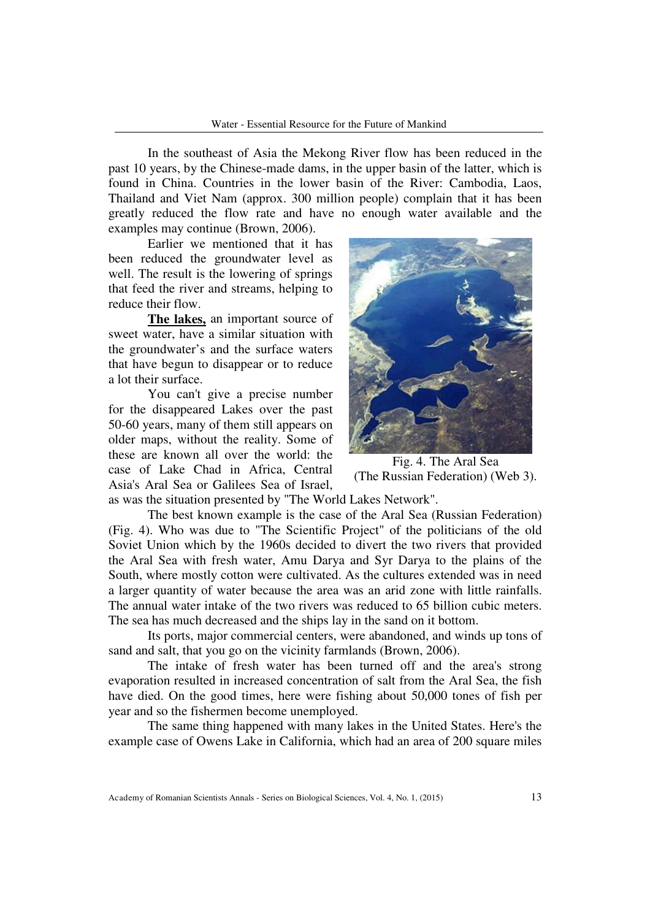In the southeast of Asia the Mekong River flow has been reduced in the past 10 years, by the Chinese-made dams, in the upper basin of the latter, which is found in China. Countries in the lower basin of the River: Cambodia, Laos, Thailand and Viet Nam (approx. 300 million people) complain that it has been greatly reduced the flow rate and have no enough water available and the examples may continue (Brown, 2006).

Earlier we mentioned that it has been reduced the groundwater level as well. The result is the lowering of springs that feed the river and streams, helping to reduce their flow.

**The lakes,** an important source of sweet water, have a similar situation with the groundwater's and the surface waters that have begun to disappear or to reduce a lot their surface.

You can't give a precise number for the disappeared Lakes over the past 50-60 years, many of them still appears on older maps, without the reality. Some of these are known all over the world: the case of Lake Chad in Africa, Central Asia's Aral Sea or Galilees Sea of Israel,



Fig. 4. The Aral Sea (The Russian Federation) (Web 3).

as was the situation presented by "The World Lakes Network".

The best known example is the case of the Aral Sea (Russian Federation) (Fig. 4). Who was due to "The Scientific Project" of the politicians of the old Soviet Union which by the 1960s decided to divert the two rivers that provided the Aral Sea with fresh water, Amu Darya and Syr Darya to the plains of the South, where mostly cotton were cultivated. As the cultures extended was in need a larger quantity of water because the area was an arid zone with little rainfalls. The annual water intake of the two rivers was reduced to 65 billion cubic meters. The sea has much decreased and the ships lay in the sand on it bottom.

Its ports, major commercial centers, were abandoned, and winds up tons of sand and salt, that you go on the vicinity farmlands (Brown, 2006).

The intake of fresh water has been turned off and the area's strong evaporation resulted in increased concentration of salt from the Aral Sea, the fish have died. On the good times, here were fishing about 50,000 tones of fish per year and so the fishermen become unemployed.

The same thing happened with many lakes in the United States. Here's the example case of Owens Lake in California, which had an area of 200 square miles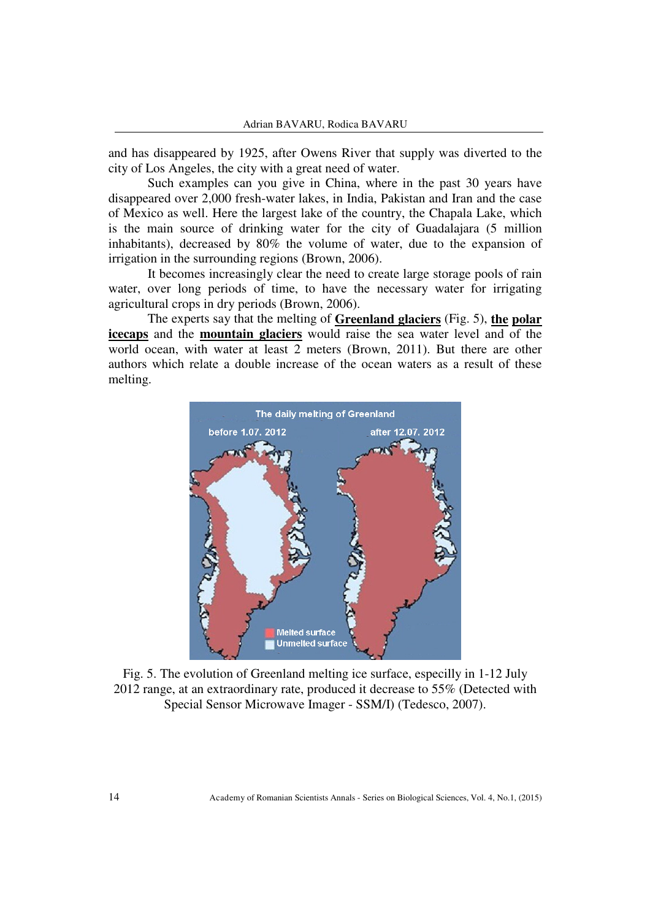and has disappeared by 1925, after Owens River that supply was diverted to the city of Los Angeles, the city with a great need of water.

Such examples can you give in China, where in the past 30 years have disappeared over 2,000 fresh-water lakes, in India, Pakistan and Iran and the case of Mexico as well. Here the largest lake of the country, the Chapala Lake, which is the main source of drinking water for the city of Guadalajara (5 million inhabitants), decreased by 80% the volume of water, due to the expansion of irrigation in the surrounding regions (Brown, 2006).

It becomes increasingly clear the need to create large storage pools of rain water, over long periods of time, to have the necessary water for irrigating agricultural crops in dry periods (Brown, 2006).

The experts say that the melting of **Greenland glaciers** (Fig. 5), **the polar icecaps** and the **mountain glaciers** would raise the sea water level and of the world ocean, with water at least 2 meters (Brown, 2011). But there are other authors which relate a double increase of the ocean waters as a result of these melting.



Fig. 5. The evolution of Greenland melting ice surface, especilly in 1-12 July 2012 range, at an extraordinary rate, produced it decrease to 55% (Detected with Special Sensor Microwave Imager - SSM/I) (Tedesco, 2007).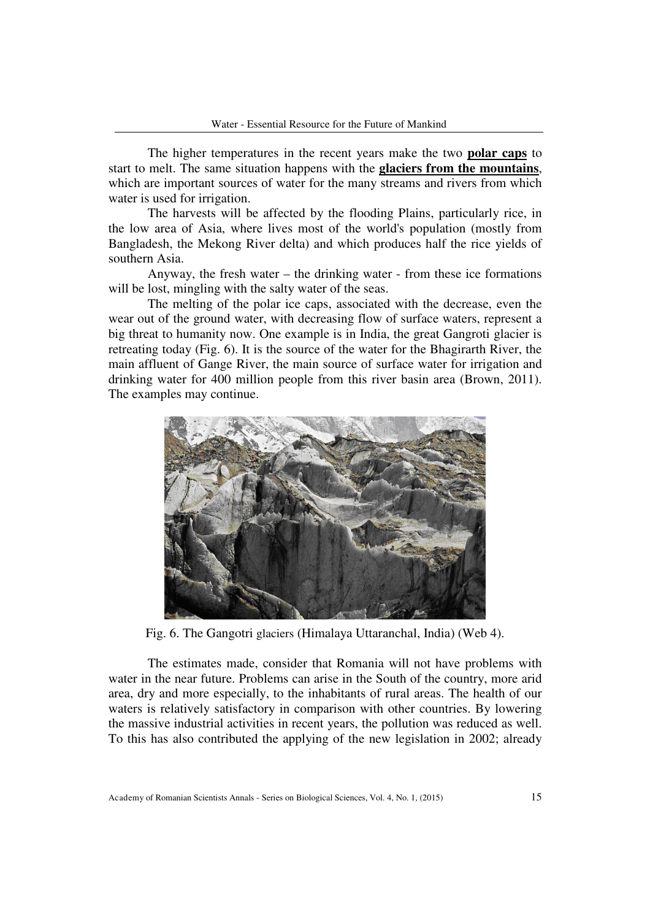The higher temperatures in the recent years make the two **polar caps** to start to melt. The same situation happens with the **glaciers from the mountains**, which are important sources of water for the many streams and rivers from which water is used for irrigation.

The harvests will be affected by the flooding Plains, particularly rice, in the low area of Asia, where lives most of the world's population (mostly from Bangladesh, the Mekong River delta) and which produces half the rice yields of southern Asia.

Anyway, the fresh water – the drinking water - from these ice formations will be lost, mingling with the salty water of the seas.

The melting of the polar ice caps, associated with the decrease, even the wear out of the ground water, with decreasing flow of surface waters, represent a big threat to humanity now. One example is in India, the great Gangroti glacier is retreating today (Fig. 6). It is the source of the water for the Bhagirarth River, the main affluent of Gange River, the main source of surface water for irrigation and drinking water for 400 million people from this river basin area (Brown, 2011). The examples may continue.



Fig. 6. The Gangotri glaciers (Himalaya Uttaranchal, India) (Web 4).

The estimates made, consider that Romania will not have problems with water in the near future. Problems can arise in the South of the country, more arid area, dry and more especially, to the inhabitants of rural areas. The health of our waters is relatively satisfactory in comparison with other countries. By lowering the massive industrial activities in recent years, the pollution was reduced as well. To this has also contributed the applying of the new legislation in 2002; already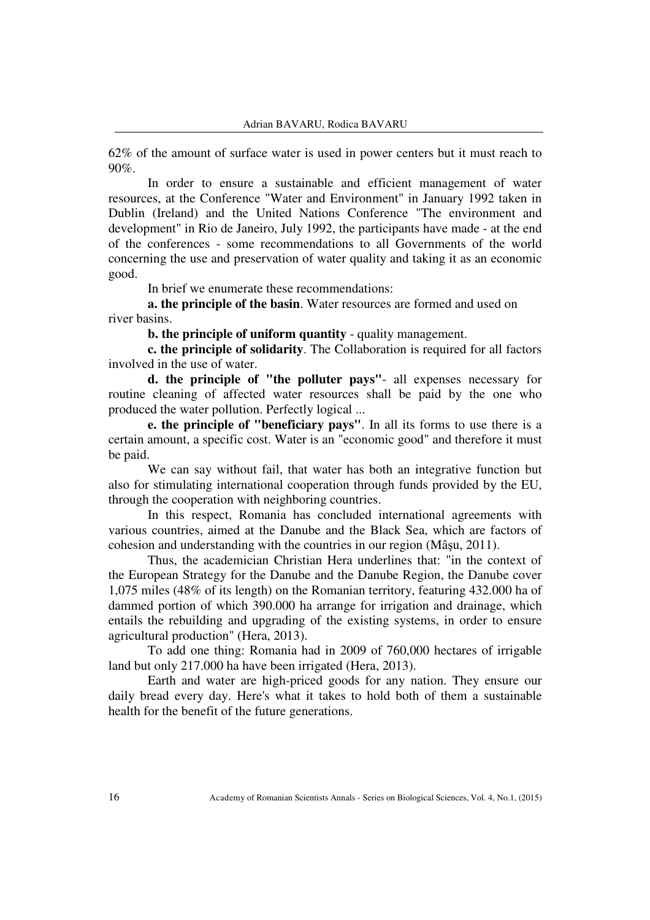62% of the amount of surface water is used in power centers but it must reach to  $90\%$ 

In order to ensure a sustainable and efficient management of water resources, at the Conference "Water and Environment" in January 1992 taken in Dublin (Ireland) and the United Nations Conference "The environment and development" in Rio de Janeiro, July 1992, the participants have made - at the end of the conferences - some recommendations to all Governments of the world concerning the use and preservation of water quality and taking it as an economic good.

In brief we enumerate these recommendations:

**a. the principle of the basin**. Water resources are formed and used on river basins.

**b. the principle of uniform quantity** - quality management.

**c. the principle of solidarity**. The Collaboration is required for all factors involved in the use of water.

**d. the principle of "the polluter pays"**- all expenses necessary for routine cleaning of affected water resources shall be paid by the one who produced the water pollution. Perfectly logical ...

**e. the principle of "beneficiary pays"**. In all its forms to use there is a certain amount, a specific cost. Water is an "economic good" and therefore it must be paid.

We can say without fail, that water has both an integrative function but also for stimulating international cooperation through funds provided by the EU, through the cooperation with neighboring countries.

In this respect, Romania has concluded international agreements with various countries, aimed at the Danube and the Black Sea, which are factors of cohesion and understanding with the countries in our region (Mâşu, 2011).

Thus, the academician Christian Hera underlines that: "in the context of the European Strategy for the Danube and the Danube Region, the Danube cover 1,075 miles (48% of its length) on the Romanian territory, featuring 432.000 ha of dammed portion of which 390.000 ha arrange for irrigation and drainage, which entails the rebuilding and upgrading of the existing systems, in order to ensure agricultural production" (Hera, 2013).

To add one thing: Romania had in 2009 of 760,000 hectares of irrigable land but only 217.000 ha have been irrigated (Hera, 2013).

Earth and water are high-priced goods for any nation. They ensure our daily bread every day. Here's what it takes to hold both of them a sustainable health for the benefit of the future generations.